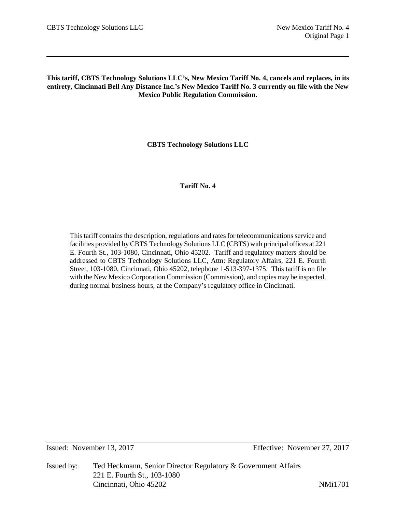# **This tariff, CBTS Technology Solutions LLC's, New Mexico Tariff No. 4, cancels and replaces, in its entirety, Cincinnati Bell Any Distance Inc.'s New Mexico Tariff No. 3 currently on file with the New Mexico Public Regulation Commission.**

**CBTS Technology Solutions LLC**

# **Tariff No. 4**

This tariff contains the description, regulations and rates for telecommunications service and facilities provided by CBTS Technology Solutions LLC (CBTS) with principal offices at 221 E. Fourth St., 103-1080, Cincinnati, Ohio 45202. Tariff and regulatory matters should be addressed to CBTS Technology Solutions LLC, Attn: Regulatory Affairs, 221 E. Fourth Street, 103-1080, Cincinnati, Ohio 45202, telephone 1-513-397-1375. This tariff is on file with the New Mexico Corporation Commission (Commission), and copies may be inspected, during normal business hours, at the Company's regulatory office in Cincinnati.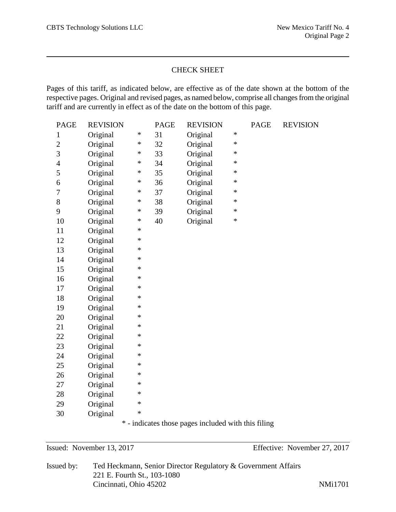# CHECK SHEET

Pages of this tariff, as indicated below, are effective as of the date shown at the bottom of the respective pages. Original and revised pages, as named below, comprise all changes from the original tariff and are currently in effect as of the date on the bottom of this page.

| <b>PAGE</b>    | <b>REVISION</b> |        | <b>PAGE</b> | <b>REVISION</b> |        | <b>PAGE</b> | <b>REVISION</b> |
|----------------|-----------------|--------|-------------|-----------------|--------|-------------|-----------------|
| $\mathbf{1}$   | Original        | $\ast$ | 31          | Original        | $\ast$ |             |                 |
| $\overline{c}$ | Original        | $\ast$ | 32          | Original        | $\ast$ |             |                 |
| 3              | Original        | *      | 33          | Original        | $\ast$ |             |                 |
| $\overline{4}$ | Original        | *      | 34          | Original        | $\ast$ |             |                 |
| 5              | Original        | $\ast$ | 35          | Original        | $\ast$ |             |                 |
| 6              | Original        | $\ast$ | 36          | Original        | $\ast$ |             |                 |
| 7              | Original        | $\ast$ | 37          | Original        | $\ast$ |             |                 |
| 8              | Original        | *      | 38          | Original        | $\ast$ |             |                 |
| 9              | Original        | *      | 39          | Original        | $\ast$ |             |                 |
| 10             | Original        | $\ast$ | 40          | Original        | $\ast$ |             |                 |
| 11             | Original        | $\ast$ |             |                 |        |             |                 |
| 12             | Original        | $\ast$ |             |                 |        |             |                 |
| 13             | Original        | $\ast$ |             |                 |        |             |                 |
| 14             | Original        | $\ast$ |             |                 |        |             |                 |
| 15             | Original        | $\ast$ |             |                 |        |             |                 |
| 16             | Original        | $\ast$ |             |                 |        |             |                 |
| 17             | Original        | $\ast$ |             |                 |        |             |                 |
| 18             | Original        | $\ast$ |             |                 |        |             |                 |
| 19             | Original        | $\ast$ |             |                 |        |             |                 |
| 20             | Original        | $\ast$ |             |                 |        |             |                 |
| 21             | Original        | $\ast$ |             |                 |        |             |                 |
| 22             | Original        | $\ast$ |             |                 |        |             |                 |
| 23             | Original        | $\ast$ |             |                 |        |             |                 |
| 24             | Original        | $\ast$ |             |                 |        |             |                 |
| 25             | Original        | $\ast$ |             |                 |        |             |                 |
| 26             | Original        | $\ast$ |             |                 |        |             |                 |
| 27             | Original        | $\ast$ |             |                 |        |             |                 |
| 28             | Original        | $\ast$ |             |                 |        |             |                 |
| 29             | Original        | $\ast$ |             |                 |        |             |                 |
| 30             | Original        | $\ast$ |             |                 |        |             |                 |

\* - indicates those pages included with this filing

Issued: November 13, 2017 Effective: November 27, 2017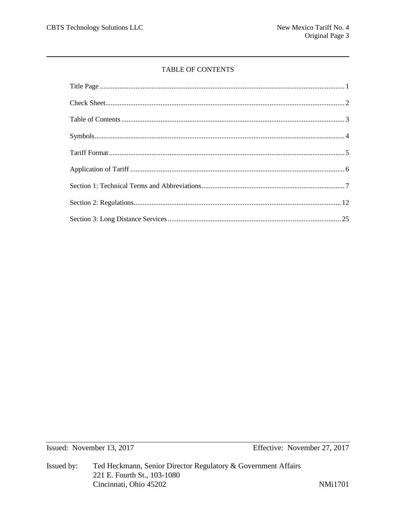# TABLE OF CONTENTS

Issued: November 13, 2017

Effective: November 27, 2017

Ted Heckmann, Senior Director Regulatory & Government Affairs Issued by: 221 E. Fourth St., 103-1080 Cincinnati, Ohio 45202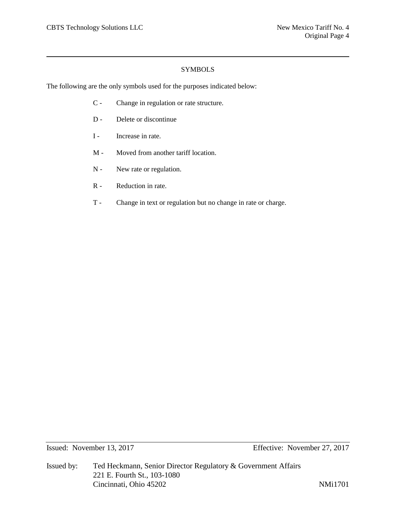# **SYMBOLS**

The following are the only symbols used for the purposes indicated below:

- C Change in regulation or rate structure.
- D Delete or discontinue
- I Increase in rate.
- M Moved from another tariff location.
- N New rate or regulation.
- R Reduction in rate.
- T Change in text or regulation but no change in rate or charge.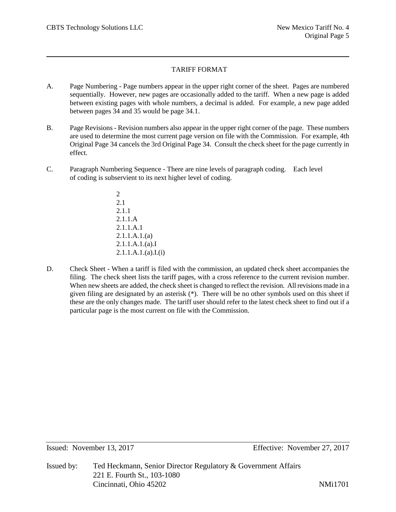# TARIFF FORMAT

- A. Page Numbering Page numbers appear in the upper right corner of the sheet. Pages are numbered sequentially. However, new pages are occasionally added to the tariff. When a new page is added between existing pages with whole numbers, a decimal is added. For example, a new page added between pages 34 and 35 would be page 34.1.
- B. Page Revisions Revision numbers also appear in the upper right corner of the page. These numbers are used to determine the most current page version on file with the Commission. For example, 4th Original Page 34 cancels the 3rd Original Page 34. Consult the check sheet for the page currently in effect.
- C. Paragraph Numbering Sequence There are nine levels of paragraph coding. Each level of coding is subservient to its next higher level of coding.
	- $\mathfrak{D}$ 2.1 2.1.1 2.1.1.A 2.1.1.A.1 2.1.1.A.1.(a) 2.1.1.A.1.(a).I  $2.1.1.A.1.(a).I.(i)$
- D. Check Sheet When a tariff is filed with the commission, an updated check sheet accompanies the filing. The check sheet lists the tariff pages, with a cross reference to the current revision number. When new sheets are added, the check sheet is changed to reflect the revision. All revisions made in a given filing are designated by an asterisk (\*). There will be no other symbols used on this sheet if these are the only changes made. The tariff user should refer to the latest check sheet to find out if a particular page is the most current on file with the Commission.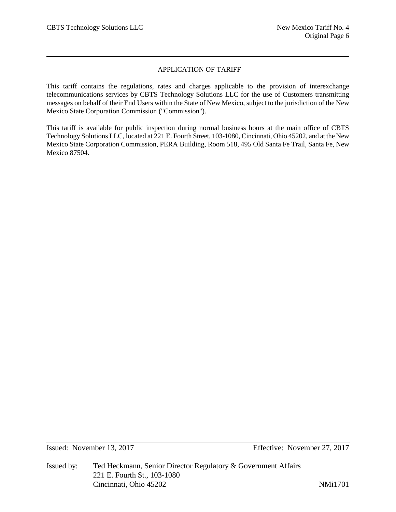# APPLICATION OF TARIFF

This tariff contains the regulations, rates and charges applicable to the provision of interexchange telecommunications services by CBTS Technology Solutions LLC for the use of Customers transmitting messages on behalf of their End Users within the State of New Mexico, subject to the jurisdiction of the New Mexico State Corporation Commission ("Commission").

This tariff is available for public inspection during normal business hours at the main office of CBTS Technology Solutions LLC, located at 221 E. Fourth Street, 103-1080, Cincinnati, Ohio 45202, and at the New Mexico State Corporation Commission, PERA Building, Room 518, 495 Old Santa Fe Trail, Santa Fe, New Mexico 87504.

Issued: November 13, 2017 Effective: November 27, 2017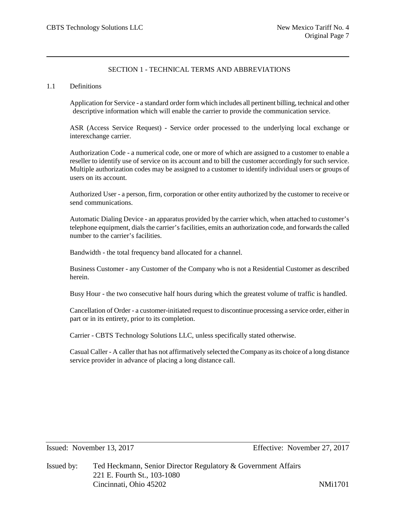# SECTION 1 - TECHNICAL TERMS AND ABBREVIATIONS

## 1.1 Definitions

Application for Service - a standard order form which includes all pertinent billing, technical and other descriptive information which will enable the carrier to provide the communication service.

ASR (Access Service Request) - Service order processed to the underlying local exchange or interexchange carrier.

Authorization Code - a numerical code, one or more of which are assigned to a customer to enable a reseller to identify use of service on its account and to bill the customer accordingly for such service. Multiple authorization codes may be assigned to a customer to identify individual users or groups of users on its account.

Authorized User - a person, firm, corporation or other entity authorized by the customer to receive or send communications.

Automatic Dialing Device - an apparatus provided by the carrier which, when attached to customer's telephone equipment, dials the carrier's facilities, emits an authorization code, and forwards the called number to the carrier's facilities.

Bandwidth - the total frequency band allocated for a channel.

Business Customer - any Customer of the Company who is not a Residential Customer as described herein.

Busy Hour - the two consecutive half hours during which the greatest volume of traffic is handled.

Cancellation of Order - a customer-initiated request to discontinue processing a service order, either in part or in its entirety, prior to its completion.

Carrier - CBTS Technology Solutions LLC, unless specifically stated otherwise.

Casual Caller - A caller that has not affirmatively selected the Company as its choice of a long distance service provider in advance of placing a long distance call.

Issued: November 13, 2017 Effective: November 27, 2017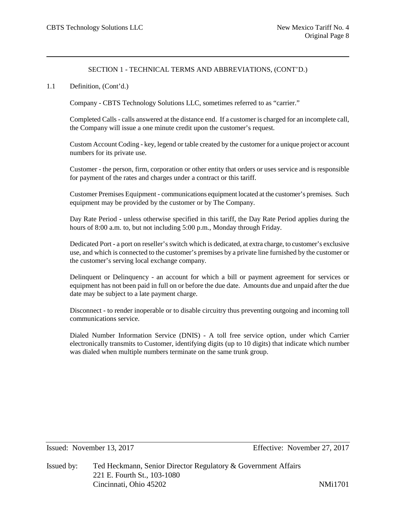## 1.1 Definition, (Cont'd.)

Company - CBTS Technology Solutions LLC, sometimes referred to as "carrier."

Completed Calls - calls answered at the distance end. If a customer is charged for an incomplete call, the Company will issue a one minute credit upon the customer's request.

Custom Account Coding - key, legend or table created by the customer for a unique project or account numbers for its private use.

Customer - the person, firm, corporation or other entity that orders or uses service and is responsible for payment of the rates and charges under a contract or this tariff.

Customer Premises Equipment - communications equipment located at the customer's premises. Such equipment may be provided by the customer or by The Company.

Day Rate Period - unless otherwise specified in this tariff, the Day Rate Period applies during the hours of 8:00 a.m. to, but not including 5:00 p.m., Monday through Friday.

Dedicated Port - a port on reseller's switch which is dedicated, at extra charge, to customer's exclusive use, and which is connected to the customer's premises by a private line furnished by the customer or the customer's serving local exchange company.

Delinquent or Delinquency - an account for which a bill or payment agreement for services or equipment has not been paid in full on or before the due date. Amounts due and unpaid after the due date may be subject to a late payment charge.

Disconnect - to render inoperable or to disable circuitry thus preventing outgoing and incoming toll communications service.

Dialed Number Information Service (DNIS) - A toll free service option, under which Carrier electronically transmits to Customer, identifying digits (up to 10 digits) that indicate which number was dialed when multiple numbers terminate on the same trunk group.

Issued: November 13, 2017 Effective: November 27, 2017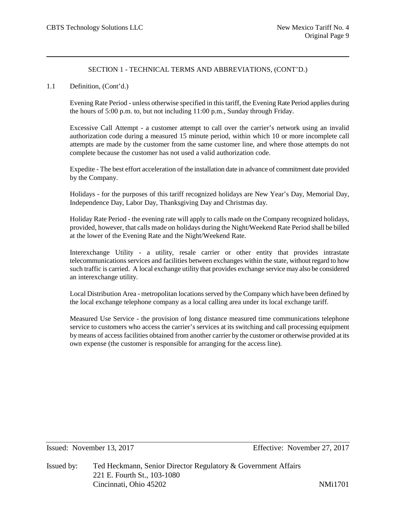## 1.1 Definition, (Cont'd.)

Evening Rate Period - unless otherwise specified in this tariff, the Evening Rate Period applies during the hours of 5:00 p.m. to, but not including 11:00 p.m., Sunday through Friday.

Excessive Call Attempt - a customer attempt to call over the carrier's network using an invalid authorization code during a measured 15 minute period, within which 10 or more incomplete call attempts are made by the customer from the same customer line, and where those attempts do not complete because the customer has not used a valid authorization code.

Expedite - The best effort acceleration of the installation date in advance of commitment date provided by the Company.

Holidays - for the purposes of this tariff recognized holidays are New Year's Day, Memorial Day, Independence Day, Labor Day, Thanksgiving Day and Christmas day.

Holiday Rate Period - the evening rate will apply to calls made on the Company recognized holidays, provided, however, that calls made on holidays during the Night/Weekend Rate Period shall be billed at the lower of the Evening Rate and the Night/Weekend Rate.

Interexchange Utility - a utility, resale carrier or other entity that provides intrastate telecommunications services and facilities between exchanges within the state, without regard to how such traffic is carried. A local exchange utility that provides exchange service may also be considered an interexchange utility.

Local Distribution Area - metropolitan locations served by the Company which have been defined by the local exchange telephone company as a local calling area under its local exchange tariff.

Measured Use Service - the provision of long distance measured time communications telephone service to customers who access the carrier's services at its switching and call processing equipment by means of access facilities obtained from another carrier by the customer or otherwise provided at its own expense (the customer is responsible for arranging for the access line).

Issued: November 13, 2017 Effective: November 27, 2017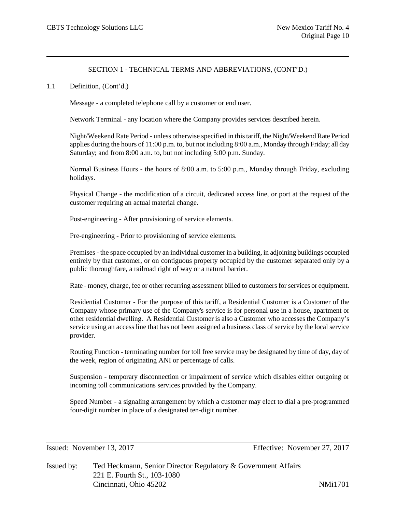## 1.1 Definition, (Cont'd.)

Message - a completed telephone call by a customer or end user.

Network Terminal - any location where the Company provides services described herein.

Night/Weekend Rate Period - unless otherwise specified in this tariff, the Night/Weekend Rate Period applies during the hours of 11:00 p.m. to, but not including 8:00 a.m., Monday through Friday; all day Saturday; and from 8:00 a.m. to, but not including 5:00 p.m. Sunday.

Normal Business Hours - the hours of 8:00 a.m. to 5:00 p.m., Monday through Friday, excluding holidays.

Physical Change - the modification of a circuit, dedicated access line, or port at the request of the customer requiring an actual material change.

Post-engineering - After provisioning of service elements.

Pre-engineering - Prior to provisioning of service elements.

Premises - the space occupied by an individual customer in a building, in adjoining buildings occupied entirely by that customer, or on contiguous property occupied by the customer separated only by a public thoroughfare, a railroad right of way or a natural barrier.

Rate - money, charge, fee or other recurring assessment billed to customers for services or equipment.

Residential Customer - For the purpose of this tariff, a Residential Customer is a Customer of the Company whose primary use of the Company's service is for personal use in a house, apartment or other residential dwelling. A Residential Customer is also a Customer who accesses the Company's service using an access line that has not been assigned a business class of service by the local service provider.

Routing Function - terminating number for toll free service may be designated by time of day, day of the week, region of originating ANI or percentage of calls.

Suspension - temporary disconnection or impairment of service which disables either outgoing or incoming toll communications services provided by the Company.

Speed Number - a signaling arrangement by which a customer may elect to dial a pre-programmed four-digit number in place of a designated ten-digit number.

Issued: November 13, 2017 Effective: November 27, 2017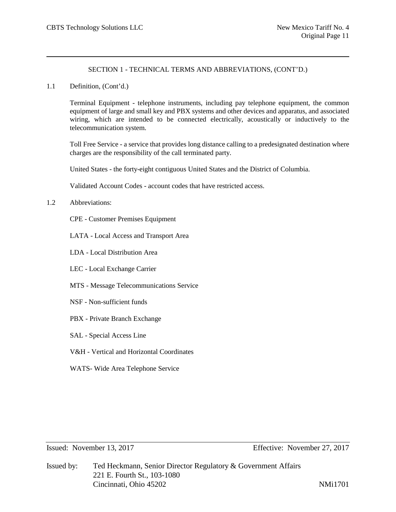1.1 Definition, (Cont'd.)

Terminal Equipment - telephone instruments, including pay telephone equipment, the common equipment of large and small key and PBX systems and other devices and apparatus, and associated wiring, which are intended to be connected electrically, acoustically or inductively to the telecommunication system.

Toll Free Service - a service that provides long distance calling to a predesignated destination where charges are the responsibility of the call terminated party.

United States - the forty-eight contiguous United States and the District of Columbia.

Validated Account Codes - account codes that have restricted access.

- 1.2 Abbreviations:
	- CPE Customer Premises Equipment
	- LATA Local Access and Transport Area
	- LDA Local Distribution Area
	- LEC Local Exchange Carrier
	- MTS Message Telecommunications Service
	- NSF Non-sufficient funds
	- PBX Private Branch Exchange
	- SAL Special Access Line
	- V&H Vertical and Horizontal Coordinates
	- WATS- Wide Area Telephone Service

Issued: November 13, 2017 Effective: November 27, 2017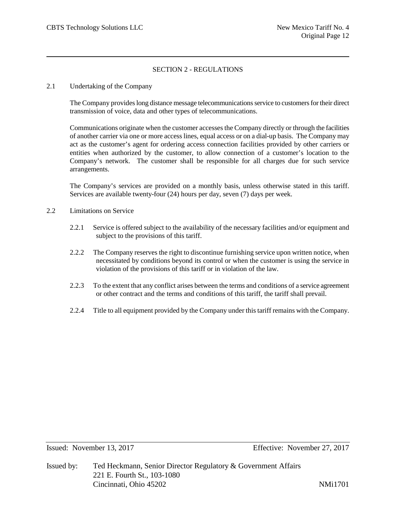# SECTION 2 - REGULATIONS

## 2.1 Undertaking of the Company

The Company provides long distance message telecommunications service to customers for their direct transmission of voice, data and other types of telecommunications.

Communications originate when the customer accesses the Company directly or through the facilities of another carrier via one or more access lines, equal access or on a dial-up basis. The Company may act as the customer's agent for ordering access connection facilities provided by other carriers or entities when authorized by the customer, to allow connection of a customer's location to the Company's network. The customer shall be responsible for all charges due for such service arrangements.

The Company's services are provided on a monthly basis, unless otherwise stated in this tariff. Services are available twenty-four (24) hours per day, seven (7) days per week.

- 2.2 Limitations on Service
	- 2.2.1 Service is offered subject to the availability of the necessary facilities and/or equipment and subject to the provisions of this tariff.
	- 2.2.2 The Company reserves the right to discontinue furnishing service upon written notice, when necessitated by conditions beyond its control or when the customer is using the service in violation of the provisions of this tariff or in violation of the law.
	- 2.2.3 To the extent that any conflict arises between the terms and conditions of a service agreement or other contract and the terms and conditions of this tariff, the tariff shall prevail.
	- 2.2.4 Title to all equipment provided by the Company under this tariff remains with the Company.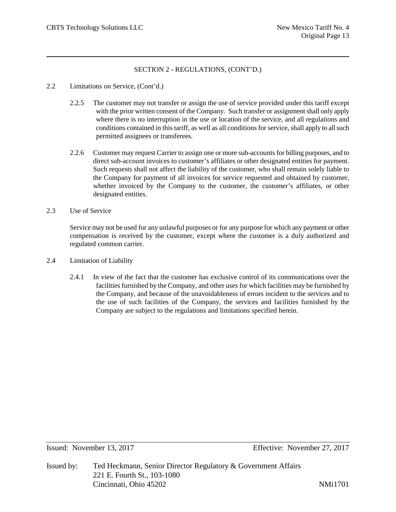- 2.2 Limitations on Service, (Cont'd.)
	- 2.2.5 The customer may not transfer or assign the use of service provided under this tariff except with the prior written consent of the Company. Such transfer or assignment shall only apply where there is no interruption in the use or location of the service, and all regulations and conditions contained in this tariff, as well as all conditions for service, shall apply to all such permitted assignees or transferees.
	- 2.2.6 Customer may request Carrier to assign one or more sub-accounts for billing purposes, and to direct sub-account invoices to customer's affiliates or other designated entities for payment. Such requests shall not affect the liability of the customer, who shall remain solely liable to the Company for payment of all invoices for service requested and obtained by customer, whether invoiced by the Company to the customer, the customer's affiliates, or other designated entities.
- 2.3 Use of Service

Service may not be used for any unlawful purposes or for any purpose for which any payment or other compensation is received by the customer, except where the customer is a duly authorized and regulated common carrier.

- 2.4 Limitation of Liability
	- 2.4.1 In view of the fact that the customer has exclusive control of its communications over the facilities furnished by the Company, and other uses for which facilities may be furnished by the Company, and because of the unavoidableness of errors incident to the services and to the use of such facilities of the Company, the services and facilities furnished by the Company are subject to the regulations and limitations specified herein.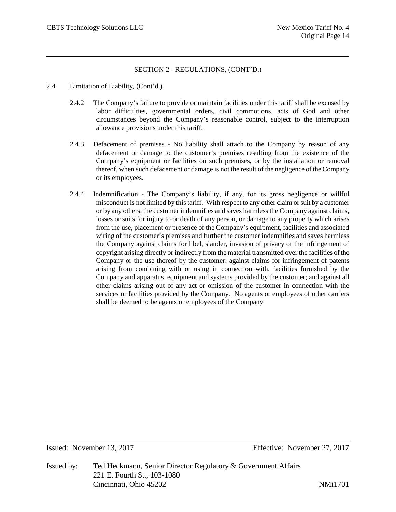- 2.4 Limitation of Liability, (Cont'd.)
	- 2.4.2 The Company's failure to provide or maintain facilities under this tariff shall be excused by labor difficulties, governmental orders, civil commotions, acts of God and other circumstances beyond the Company's reasonable control, subject to the interruption allowance provisions under this tariff.
	- 2.4.3 Defacement of premises No liability shall attach to the Company by reason of any defacement or damage to the customer's premises resulting from the existence of the Company's equipment or facilities on such premises, or by the installation or removal thereof, when such defacement or damage is not the result of the negligence of the Company or its employees.
	- 2.4.4 Indemnification The Company's liability, if any, for its gross negligence or willful misconduct is not limited by this tariff. With respect to any other claim or suit by a customer or by any others, the customer indemnifies and saves harmless the Company against claims, losses or suits for injury to or death of any person, or damage to any property which arises from the use, placement or presence of the Company's equipment, facilities and associated wiring of the customer's premises and further the customer indemnifies and saves harmless the Company against claims for libel, slander, invasion of privacy or the infringement of copyright arising directly or indirectly from the material transmitted over the facilities of the Company or the use thereof by the customer; against claims for infringement of patents arising from combining with or using in connection with, facilities furnished by the Company and apparatus, equipment and systems provided by the customer; and against all other claims arising out of any act or omission of the customer in connection with the services or facilities provided by the Company. No agents or employees of other carriers shall be deemed to be agents or employees of the Company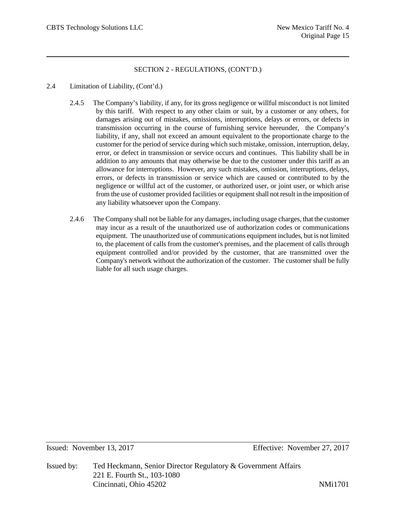- 2.4 Limitation of Liability, (Cont'd.)
	- 2.4.5 The Company's liability, if any, for its gross negligence or willful misconduct is not limited by this tariff. With respect to any other claim or suit, by a customer or any others, for damages arising out of mistakes, omissions, interruptions, delays or errors, or defects in transmission occurring in the course of furnishing service hereunder, the Company's liability, if any, shall not exceed an amount equivalent to the proportionate charge to the customer for the period of service during which such mistake, omission, interruption, delay, error, or defect in transmission or service occurs and continues. This liability shall be in addition to any amounts that may otherwise be due to the customer under this tariff as an allowance for interruptions. However, any such mistakes, omission, interruptions, delays, errors, or defects in transmission or service which are caused or contributed to by the negligence or willful act of the customer, or authorized user, or joint user, or which arise from the use of customer provided facilities or equipment shall not result in the imposition of any liability whatsoever upon the Company.
	- 2.4.6 The Company shall not be liable for any damages, including usage charges, that the customer may incur as a result of the unauthorized use of authorization codes or communications equipment. The unauthorized use of communications equipment includes, but is not limited to, the placement of calls from the customer's premises, and the placement of calls through equipment controlled and/or provided by the customer, that are transmitted over the Company's network without the authorization of the customer. The customer shall be fully liable for all such usage charges.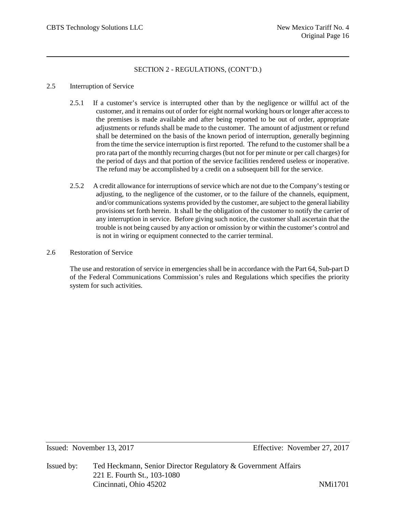# 2.5 Interruption of Service

- 2.5.1 If a customer's service is interrupted other than by the negligence or willful act of the customer, and it remains out of order for eight normal working hours or longer after access to the premises is made available and after being reported to be out of order, appropriate adjustments or refunds shall be made to the customer. The amount of adjustment or refund shall be determined on the basis of the known period of interruption, generally beginning from the time the service interruption is first reported. The refund to the customer shall be a pro rata part of the monthly recurring charges (but not for per minute or per call charges) for the period of days and that portion of the service facilities rendered useless or inoperative. The refund may be accomplished by a credit on a subsequent bill for the service.
- 2.5.2 A credit allowance for interruptions of service which are not due to the Company's testing or adjusting, to the negligence of the customer, or to the failure of the channels, equipment, and/or communications systems provided by the customer, are subject to the general liability provisions set forth herein. It shall be the obligation of the customer to notify the carrier of any interruption in service. Before giving such notice, the customer shall ascertain that the trouble is not being caused by any action or omission by or within the customer's control and is not in wiring or equipment connected to the carrier terminal.
- 2.6 Restoration of Service

The use and restoration of service in emergencies shall be in accordance with the Part 64, Sub-part D of the Federal Communications Commission's rules and Regulations which specifies the priority system for such activities.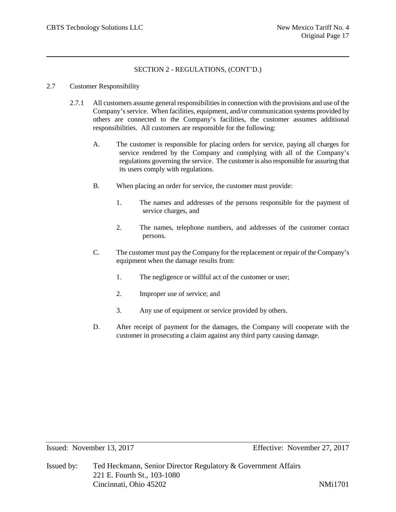## 2.7 Customer Responsibility

- 2.7.1 All customers assume general responsibilities in connection with the provisions and use of the Company's service. When facilities, equipment, and/or communication systems provided by others are connected to the Company's facilities, the customer assumes additional responsibilities. All customers are responsible for the following:
	- A. The customer is responsible for placing orders for service, paying all charges for service rendered by the Company and complying with all of the Company's regulations governing the service. The customer is also responsible for assuring that its users comply with regulations.
	- B. When placing an order for service, the customer must provide:
		- 1. The names and addresses of the persons responsible for the payment of service charges, and
		- 2. The names, telephone numbers, and addresses of the customer contact persons.
	- C. The customer must pay the Company for the replacement or repair of the Company's equipment when the damage results from:
		- 1. The negligence or willful act of the customer or user;
		- 2. Improper use of service; and
		- 3. Any use of equipment or service provided by others.
	- D. After receipt of payment for the damages, the Company will cooperate with the customer in prosecuting a claim against any third party causing damage.

Issued: November 13, 2017 Effective: November 27, 2017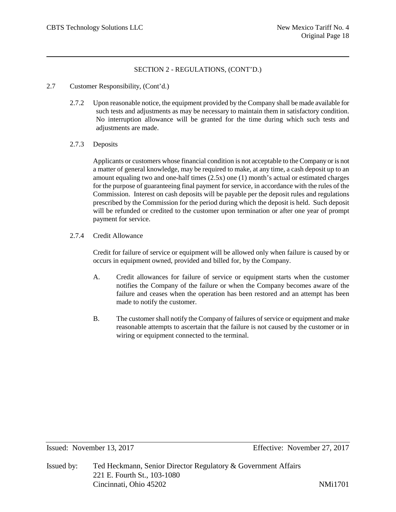- 2.7 Customer Responsibility, (Cont'd.)
	- 2.7.2 Upon reasonable notice, the equipment provided by the Company shall be made available for such tests and adjustments as may be necessary to maintain them in satisfactory condition. No interruption allowance will be granted for the time during which such tests and adjustments are made.
	- 2.7.3 Deposits

Applicants or customers whose financial condition is not acceptable to the Company or is not a matter of general knowledge, may be required to make, at any time, a cash deposit up to an amount equaling two and one-half times (2.5x) one (1) month's actual or estimated charges for the purpose of guaranteeing final payment for service, in accordance with the rules of the Commission. Interest on cash deposits will be payable per the deposit rules and regulations prescribed by the Commission for the period during which the deposit is held. Such deposit will be refunded or credited to the customer upon termination or after one year of prompt payment for service.

2.7.4 Credit Allowance

Credit for failure of service or equipment will be allowed only when failure is caused by or occurs in equipment owned, provided and billed for, by the Company.

- A. Credit allowances for failure of service or equipment starts when the customer notifies the Company of the failure or when the Company becomes aware of the failure and ceases when the operation has been restored and an attempt has been made to notify the customer.
- B. The customer shall notify the Company of failures of service or equipment and make reasonable attempts to ascertain that the failure is not caused by the customer or in wiring or equipment connected to the terminal.

Issued: November 13, 2017 Effective: November 27, 2017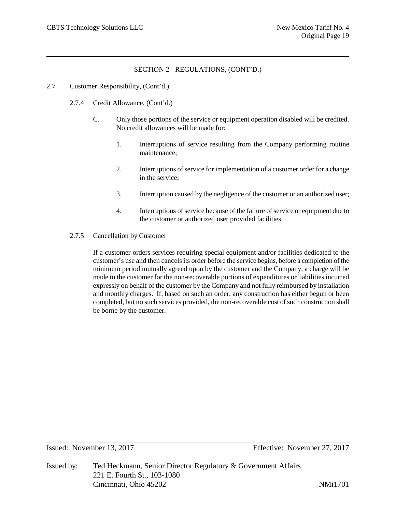## 2.7 Customer Responsibility, (Cont'd.)

- 2.7.4 Credit Allowance, (Cont'd.)
	- C. Only those portions of the service or equipment operation disabled will be credited. No credit allowances will be made for:
		- 1. Interruptions of service resulting from the Company performing routine maintenance;
		- 2. Interruptions of service for implementation of a customer order for a change in the service;
		- 3. Interruption caused by the negligence of the customer or an authorized user;
		- 4. Interruptions of service because of the failure of service or equipment due to the customer or authorized user provided facilities.
- 2.7.5 Cancellation by Customer

If a customer orders services requiring special equipment and/or facilities dedicated to the customer's use and then cancels its order before the service begins, before a completion of the minimum period mutually agreed upon by the customer and the Company, a charge will be made to the customer for the non-recoverable portions of expenditures or liabilities incurred expressly on behalf of the customer by the Company and not fully reimbursed by installation and monthly charges. If, based on such an order, any construction has either begun or been completed, but no such services provided, the non-recoverable cost of such construction shall be borne by the customer.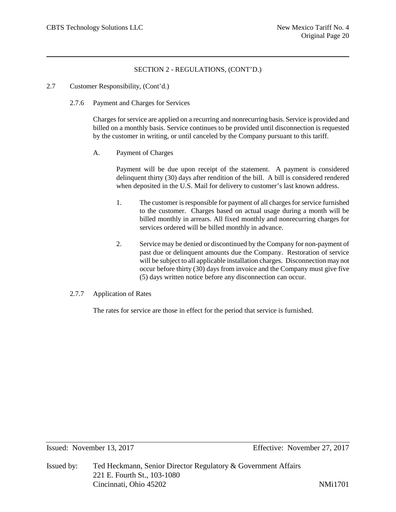- 2.7 Customer Responsibility, (Cont'd.)
	- 2.7.6 Payment and Charges for Services

Charges for service are applied on a recurring and nonrecurring basis. Service is provided and billed on a monthly basis. Service continues to be provided until disconnection is requested by the customer in writing, or until canceled by the Company pursuant to this tariff.

A. Payment of Charges

Payment will be due upon receipt of the statement. A payment is considered delinquent thirty (30) days after rendition of the bill. A bill is considered rendered when deposited in the U.S. Mail for delivery to customer's last known address.

- 1. The customer is responsible for payment of all charges for service furnished to the customer. Charges based on actual usage during a month will be billed monthly in arrears. All fixed monthly and nonrecurring charges for services ordered will be billed monthly in advance.
- 2. Service may be denied or discontinued by the Company for non-payment of past due or delinquent amounts due the Company. Restoration of service will be subject to all applicable installation charges. Disconnection may not occur before thirty (30) days from invoice and the Company must give five (5) days written notice before any disconnection can occur.
- 2.7.7 Application of Rates

The rates for service are those in effect for the period that service is furnished.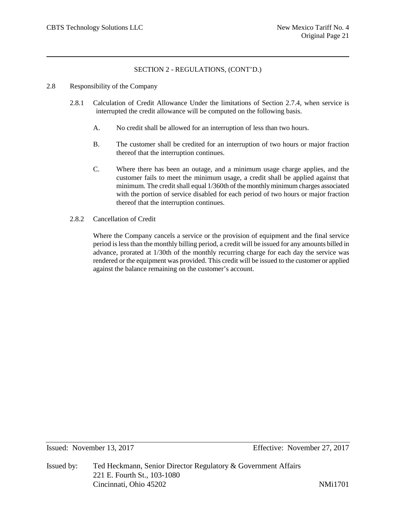- 2.8 Responsibility of the Company
	- 2.8.1 Calculation of Credit Allowance Under the limitations of Section 2.7.4, when service is interrupted the credit allowance will be computed on the following basis.
		- A. No credit shall be allowed for an interruption of less than two hours.
		- B. The customer shall be credited for an interruption of two hours or major fraction thereof that the interruption continues.
		- C. Where there has been an outage, and a minimum usage charge applies, and the customer fails to meet the minimum usage, a credit shall be applied against that minimum. The credit shall equal 1/360th of the monthly minimum charges associated with the portion of service disabled for each period of two hours or major fraction thereof that the interruption continues.
	- 2.8.2 Cancellation of Credit

Where the Company cancels a service or the provision of equipment and the final service period is less than the monthly billing period, a credit will be issued for any amounts billed in advance, prorated at 1/30th of the monthly recurring charge for each day the service was rendered or the equipment was provided. This credit will be issued to the customer or applied against the balance remaining on the customer's account.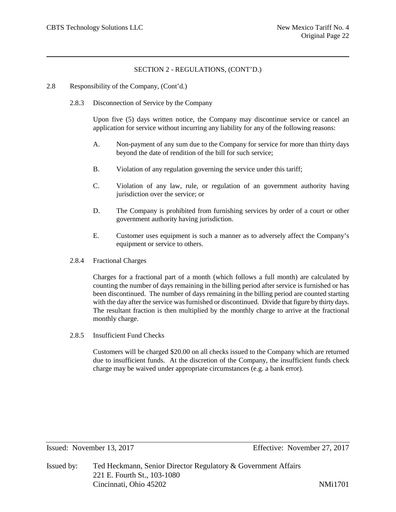- 2.8 Responsibility of the Company, (Cont'd.)
	- 2.8.3 Disconnection of Service by the Company

Upon five (5) days written notice, the Company may discontinue service or cancel an application for service without incurring any liability for any of the following reasons:

- A. Non-payment of any sum due to the Company for service for more than thirty days beyond the date of rendition of the bill for such service;
- B. Violation of any regulation governing the service under this tariff;
- C. Violation of any law, rule, or regulation of an government authority having jurisdiction over the service; or
- D. The Company is prohibited from furnishing services by order of a court or other government authority having jurisdiction.
- E. Customer uses equipment is such a manner as to adversely affect the Company's equipment or service to others.
- 2.8.4 Fractional Charges

Charges for a fractional part of a month (which follows a full month) are calculated by counting the number of days remaining in the billing period after service is furnished or has been discontinued. The number of days remaining in the billing period are counted starting with the day after the service was furnished or discontinued. Divide that figure by thirty days. The resultant fraction is then multiplied by the monthly charge to arrive at the fractional monthly charge.

2.8.5 Insufficient Fund Checks

Customers will be charged \$20.00 on all checks issued to the Company which are returned due to insufficient funds. At the discretion of the Company, the insufficient funds check charge may be waived under appropriate circumstances (e.g. a bank error).

Issued: November 13, 2017 Effective: November 27, 2017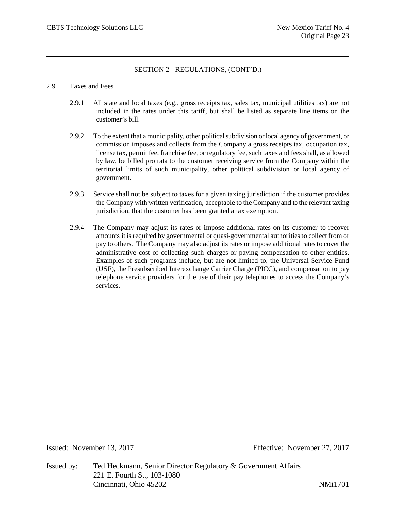## 2.9 Taxes and Fees

- 2.9.1 All state and local taxes (e.g., gross receipts tax, sales tax, municipal utilities tax) are not included in the rates under this tariff, but shall be listed as separate line items on the customer's bill.
- 2.9.2 To the extent that a municipality, other political subdivision or local agency of government, or commission imposes and collects from the Company a gross receipts tax, occupation tax, license tax, permit fee, franchise fee, or regulatory fee, such taxes and fees shall, as allowed by law, be billed pro rata to the customer receiving service from the Company within the territorial limits of such municipality, other political subdivision or local agency of government.
- 2.9.3 Service shall not be subject to taxes for a given taxing jurisdiction if the customer provides the Company with written verification, acceptable to the Company and to the relevant taxing jurisdiction, that the customer has been granted a tax exemption.
- 2.9.4 The Company may adjust its rates or impose additional rates on its customer to recover amounts it is required by governmental or quasi-governmental authorities to collect from or pay to others. The Company may also adjust its rates or impose additional rates to cover the administrative cost of collecting such charges or paying compensation to other entities. Examples of such programs include, but are not limited to, the Universal Service Fund (USF), the Presubscribed Interexchange Carrier Charge (PICC), and compensation to pay telephone service providers for the use of their pay telephones to access the Company's services.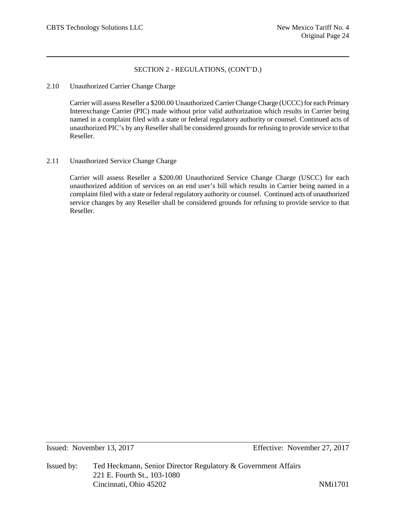## 2.10 Unauthorized Carrier Change Charge

Carrier will assess Reseller a \$200.00 Unauthorized Carrier Change Charge (UCCC) for each Primary Interexchange Carrier (PIC) made without prior valid authorization which results in Carrier being named in a complaint filed with a state or federal regulatory authority or counsel. Continued acts of unauthorized PIC's by any Reseller shall be considered grounds for refusing to provide service to that Reseller.

# 2.11 Unauthorized Service Change Charge

Carrier will assess Reseller a \$200.00 Unauthorized Service Change Charge (USCC) for each unauthorized addition of services on an end user's bill which results in Carrier being named in a complaint filed with a state or federal regulatory authority or counsel. Continued acts of unauthorized service changes by any Reseller shall be considered grounds for refusing to provide service to that Reseller.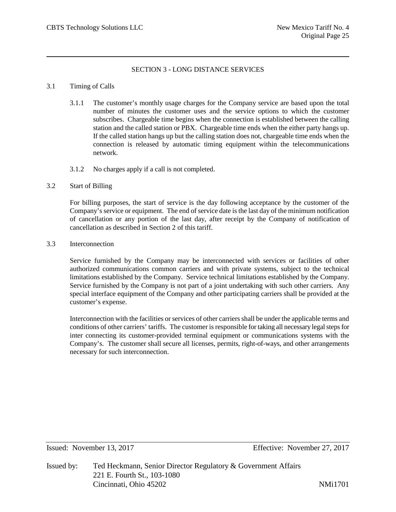# SECTION 3 - LONG DISTANCE SERVICES

## 3.1 Timing of Calls

- 3.1.1 The customer's monthly usage charges for the Company service are based upon the total number of minutes the customer uses and the service options to which the customer subscribes. Chargeable time begins when the connection is established between the calling station and the called station or PBX. Chargeable time ends when the either party hangs up. If the called station hangs up but the calling station does not, chargeable time ends when the connection is released by automatic timing equipment within the telecommunications network.
- 3.1.2 No charges apply if a call is not completed.

## 3.2 Start of Billing

For billing purposes, the start of service is the day following acceptance by the customer of the Company's service or equipment. The end of service date is the last day of the minimum notification of cancellation or any portion of the last day, after receipt by the Company of notification of cancellation as described in Section 2 of this tariff.

3.3 Interconnection

Service furnished by the Company may be interconnected with services or facilities of other authorized communications common carriers and with private systems, subject to the technical limitations established by the Company. Service technical limitations established by the Company. Service furnished by the Company is not part of a joint undertaking with such other carriers. Any special interface equipment of the Company and other participating carriers shall be provided at the customer's expense.

Interconnection with the facilities or services of other carriers shall be under the applicable terms and conditions of other carriers' tariffs. The customer is responsible for taking all necessary legal steps for inter connecting its customer-provided terminal equipment or communications systems with the Company's. The customer shall secure all licenses, permits, right-of-ways, and other arrangements necessary for such interconnection.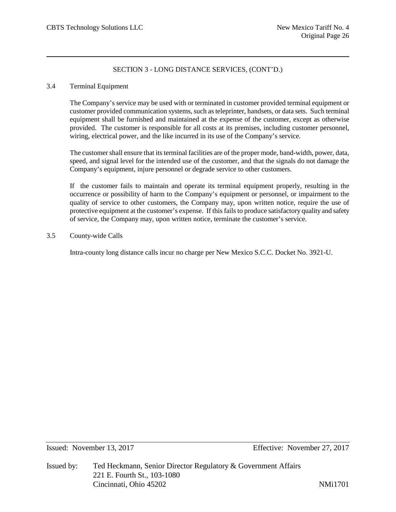## 3.4 Terminal Equipment

The Company's service may be used with or terminated in customer provided terminal equipment or customer provided communication systems, such as teleprinter, handsets, or data sets. Such terminal equipment shall be furnished and maintained at the expense of the customer, except as otherwise provided. The customer is responsible for all costs at its premises, including customer personnel, wiring, electrical power, and the like incurred in its use of the Company's service.

The customer shall ensure that its terminal facilities are of the proper mode, band-width, power, data, speed, and signal level for the intended use of the customer, and that the signals do not damage the Company's equipment, injure personnel or degrade service to other customers.

If the customer fails to maintain and operate its terminal equipment properly, resulting in the occurrence or possibility of harm to the Company's equipment or personnel, or impairment to the quality of service to other customers, the Company may, upon written notice, require the use of protective equipment at the customer's expense. If this fails to produce satisfactory quality and safety of service, the Company may, upon written notice, terminate the customer's service.

3.5 County-wide Calls

Intra-county long distance calls incur no charge per New Mexico S.C.C. Docket No. 3921-U.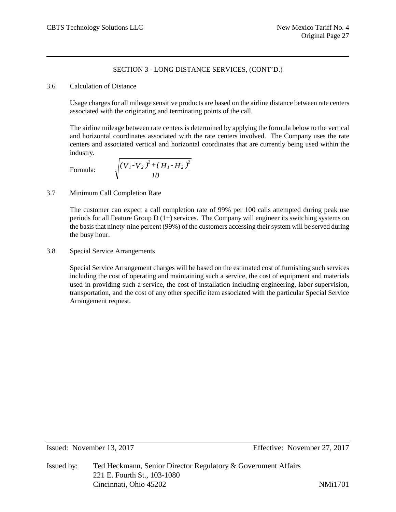## 3.6 Calculation of Distance

Usage charges for all mileage sensitive products are based on the airline distance between rate centers associated with the originating and terminating points of the call.

The airline mileage between rate centers is determined by applying the formula below to the vertical and horizontal coordinates associated with the rate centers involved. The Company uses the rate centers and associated vertical and horizontal coordinates that are currently being used within the industry.

Formula:

$$
\sqrt{\frac{\left(V_{1}-V_{2}\right)^{2}+\left(H_{1}-H_{2}\right)^{2}}{10}}
$$

# 3.7 Minimum Call Completion Rate

The customer can expect a call completion rate of 99% per 100 calls attempted during peak use periods for all Feature Group  $D(1+)$  services. The Company will engineer its switching systems on the basis that ninety-nine percent (99%) of the customers accessing their system will be served during the busy hour.

# 3.8 Special Service Arrangements

Special Service Arrangement charges will be based on the estimated cost of furnishing such services including the cost of operating and maintaining such a service, the cost of equipment and materials used in providing such a service, the cost of installation including engineering, labor supervision, transportation, and the cost of any other specific item associated with the particular Special Service Arrangement request.

Issued by: Ted Heckmann, Senior Director Regulatory & Government Affairs 221 E. Fourth St., 103-1080 Cincinnati, Ohio 45202 NMi1701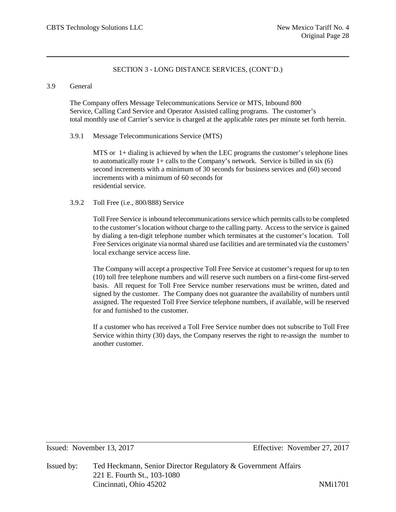## 3.9 General

The Company offers Message Telecommunications Service or MTS, Inbound 800 Service, Calling Card Service and Operator Assisted calling programs. The customer's total monthly use of Carrier's service is charged at the applicable rates per minute set forth herein.

## 3.9.1 Message Telecommunications Service (MTS)

MTS or 1+ dialing is achieved by when the LEC programs the customer's telephone lines to automatically route  $1+$  calls to the Company's network. Service is billed in six (6) second increments with a minimum of 30 seconds for business services and (60) second increments with a minimum of 60 seconds for residential service.

# 3.9.2 Toll Free (i.e., 800/888) Service

Toll Free Service is inbound telecommunications service which permits calls to be completed to the customer's location without charge to the calling party. Access to the service is gained by dialing a ten-digit telephone number which terminates at the customer's location. Toll Free Services originate via normal shared use facilities and are terminated via the customers' local exchange service access line.

The Company will accept a prospective Toll Free Service at customer's request for up to ten (10) toll free telephone numbers and will reserve such numbers on a first-come first-served basis. All request for Toll Free Service number reservations must be written, dated and signed by the customer. The Company does not guarantee the availability of numbers until assigned. The requested Toll Free Service telephone numbers, if available, will be reserved for and furnished to the customer.

If a customer who has received a Toll Free Service number does not subscribe to Toll Free Service within thirty (30) days, the Company reserves the right to re-assign the number to another customer.

Issued: November 13, 2017 Effective: November 27, 2017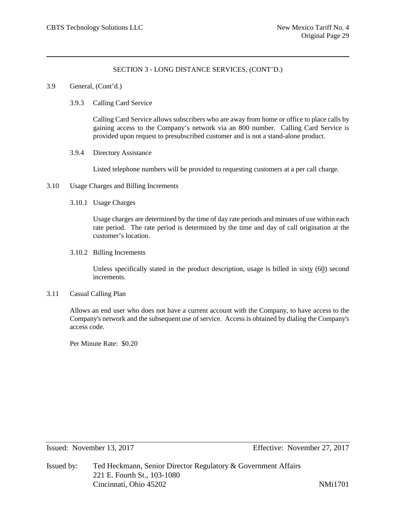- 3.9 General, (Cont'd.)
	- 3.9.3 Calling Card Service

Calling Card Service allows subscribers who are away from home or office to place calls by gaining access to the Company's network via an 800 number. Calling Card Service is provided upon request to presubscribed customer and is not a stand-alone product.

3.9.4 Directory Assistance

Listed telephone numbers will be provided to requesting customers at a per call charge.

- 3.10 Usage Charges and Billing Increments
	- 3.10.1 Usage Charges

Usage charges are determined by the time of day rate periods and minutes of use within each rate period. The rate period is determined by the time and day of call origination at the customer's location.

3.10.2 Billing Increments

Unless specifically stated in the product description, usage is billed in sixty (60) second increments.

### 3.11 Casual Calling Plan

Allows an end user who does not have a current account with the Company, to have access to the Company's network and the subsequent use of service. Access is obtained by dialing the Company's access code.

Per Minute Rate: \$0.20

Issued: November 13, 2017 Effective: November 27, 2017

Issued by: Ted Heckmann, Senior Director Regulatory & Government Affairs 221 E. Fourth St., 103-1080 Cincinnati, Ohio 45202 NMi1701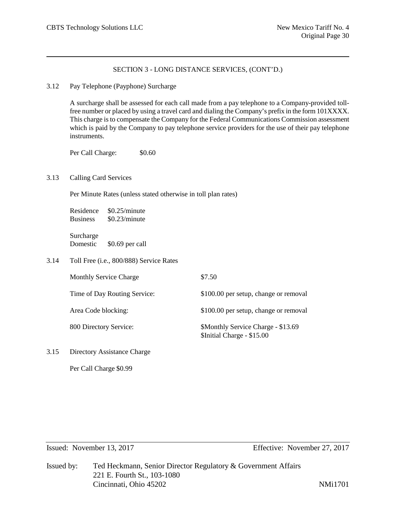## 3.12 Pay Telephone (Payphone) Surcharge

A surcharge shall be assessed for each call made from a pay telephone to a Company-provided tollfree number or placed by using a travel card and dialing the Company's prefix in the form 101XXXX. This charge is to compensate the Company for the Federal Communications Commission assessment which is paid by the Company to pay telephone service providers for the use of their pay telephone instruments.

Per Call Charge:  $$0.60$ 

## 3.13 Calling Card Services

Per Minute Rates (unless stated otherwise in toll plan rates)

Residence \$0.25/minute Business \$0.23/minute

Surcharge Domestic \$0.69 per call

3.14 Toll Free (i.e., 800/888) Service Rates

| <b>Monthly Service Charge</b> | \$7.50                                                           |
|-------------------------------|------------------------------------------------------------------|
| Time of Day Routing Service:  | \$100.00 per setup, change or removal                            |
| Area Code blocking:           | \$100.00 per setup, change or removal                            |
| 800 Directory Service:        | \$Monthly Service Charge - \$13.69<br>\$Initial Charge - \$15.00 |

3.15 Directory Assistance Charge

Per Call Charge \$0.99

Issued: November 13, 2017 Effective: November 27, 2017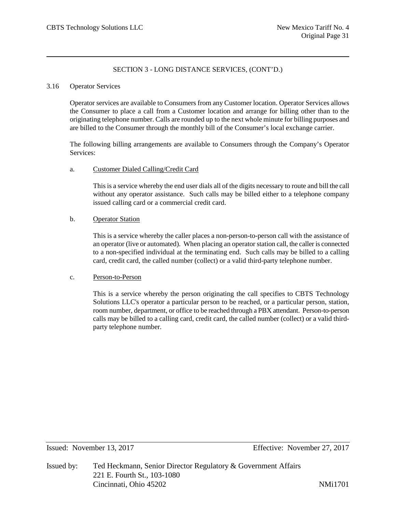## 3.16 Operator Services

Operator services are available to Consumers from any Customer location. Operator Services allows the Consumer to place a call from a Customer location and arrange for billing other than to the originating telephone number. Calls are rounded up to the next whole minute for billing purposes and are billed to the Consumer through the monthly bill of the Consumer's local exchange carrier.

The following billing arrangements are available to Consumers through the Company's Operator Services:

## a. Customer Dialed Calling/Credit Card

This is a service whereby the end user dials all of the digits necessary to route and bill the call without any operator assistance. Such calls may be billed either to a telephone company issued calling card or a commercial credit card.

# b. Operator Station

This is a service whereby the caller places a non-person-to-person call with the assistance of an operator (live or automated). When placing an operator station call, the caller is connected to a non-specified individual at the terminating end. Such calls may be billed to a calling card, credit card, the called number (collect) or a valid third-party telephone number.

# c. Person-to-Person

This is a service whereby the person originating the call specifies to CBTS Technology Solutions LLC's operator a particular person to be reached, or a particular person, station, room number, department, or office to be reached through a PBX attendant. Person-to-person calls may be billed to a calling card, credit card, the called number (collect) or a valid thirdparty telephone number.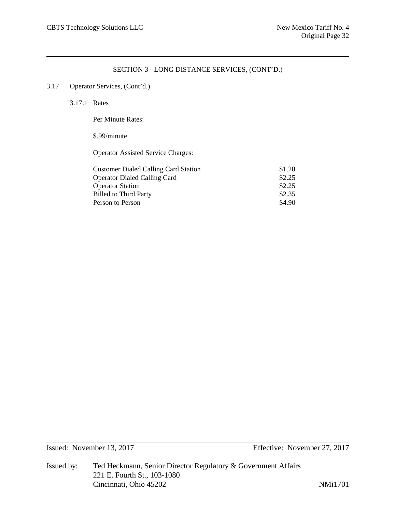# 3.17 Operator Services, (Cont'd.)

3.17.1 Rates

Per Minute Rates:

# \$.99/minute

Operator Assisted Service Charges:

| <b>Customer Dialed Calling Card Station</b> | \$1.20 |
|---------------------------------------------|--------|
| <b>Operator Dialed Calling Card</b>         | \$2.25 |
| <b>Operator Station</b>                     | \$2.25 |
| <b>Billed to Third Party</b>                | \$2.35 |
| Person to Person                            | \$4.90 |
|                                             |        |

Issued: November 13, 2017 Effective: November 27, 2017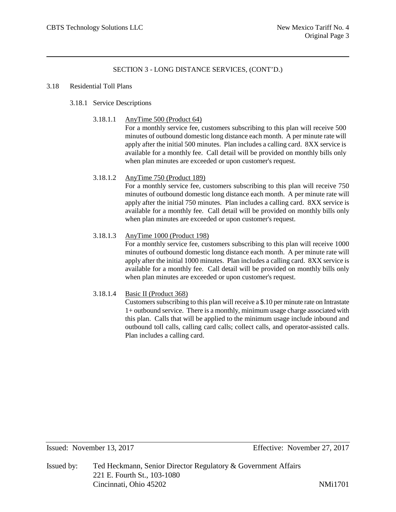## 3.18 Residential Toll Plans

# 3.18.1 Service Descriptions

3.18.1.1 AnyTime 500 (Product 64)

For a monthly service fee, customers subscribing to this plan will receive 500 minutes of outbound domestic long distance each month. A per minute rate will apply after the initial 500 minutes. Plan includes a calling card. 8XX service is available for a monthly fee. Call detail will be provided on monthly bills only when plan minutes are exceeded or upon customer's request.

# 3.18.1.2 AnyTime 750 (Product 189)

For a monthly service fee, customers subscribing to this plan will receive 750 minutes of outbound domestic long distance each month. A per minute rate will apply after the initial 750 minutes. Plan includes a calling card. 8XX service is available for a monthly fee. Call detail will be provided on monthly bills only when plan minutes are exceeded or upon customer's request.

## 3.18.1.3 AnyTime 1000 (Product 198)

For a monthly service fee, customers subscribing to this plan will receive 1000 minutes of outbound domestic long distance each month. A per minute rate will apply after the initial 1000 minutes. Plan includes a calling card. 8XX service is available for a monthly fee. Call detail will be provided on monthly bills only when plan minutes are exceeded or upon customer's request.

# 3.18.1.4 Basic II (Product 368)

Customers subscribing to this plan will receive a \$.10 per minute rate on Intrastate 1+ outbound service. There is a monthly, minimum usage charge associated with this plan. Calls that will be applied to the minimum usage include inbound and outbound toll calls, calling card calls; collect calls, and operator-assisted calls. Plan includes a calling card.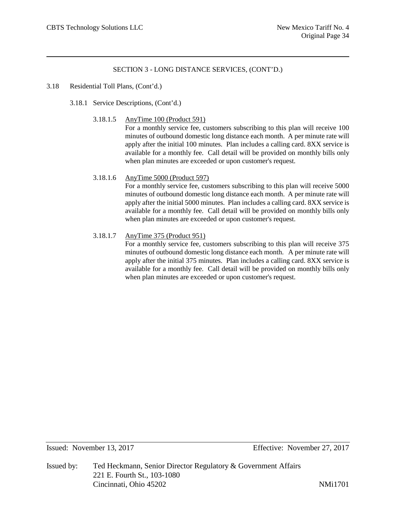## 3.18 Residential Toll Plans, (Cont'd.)

- 3.18.1 Service Descriptions, (Cont'd.)
	- 3.18.1.5 AnyTime 100 (Product 591)

For a monthly service fee, customers subscribing to this plan will receive 100 minutes of outbound domestic long distance each month. A per minute rate will apply after the initial 100 minutes. Plan includes a calling card. 8XX service is available for a monthly fee. Call detail will be provided on monthly bills only when plan minutes are exceeded or upon customer's request.

# 3.18.1.6 AnyTime 5000 (Product 597)

For a monthly service fee, customers subscribing to this plan will receive 5000 minutes of outbound domestic long distance each month. A per minute rate will apply after the initial 5000 minutes. Plan includes a calling card. 8XX service is available for a monthly fee. Call detail will be provided on monthly bills only when plan minutes are exceeded or upon customer's request.

# 3.18.1.7 AnyTime 375 (Product 951)

For a monthly service fee, customers subscribing to this plan will receive 375 minutes of outbound domestic long distance each month. A per minute rate will apply after the initial 375 minutes. Plan includes a calling card. 8XX service is available for a monthly fee. Call detail will be provided on monthly bills only when plan minutes are exceeded or upon customer's request.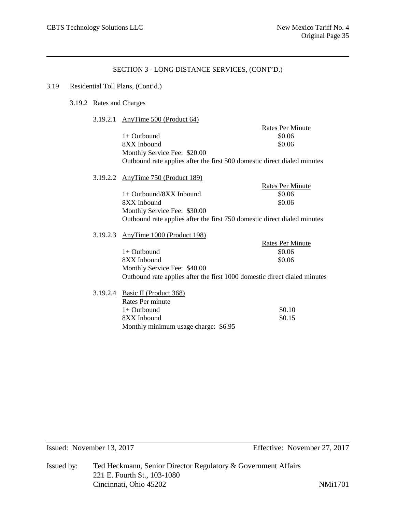## 3.19 Residential Toll Plans, (Cont'd.)

## 3.19.2 Rates and Charges

3.19.2.1 AnyTime 500 (Product 64)

|  |                                                                          | <b>Rates Per Minute</b> |  |  |  |
|--|--------------------------------------------------------------------------|-------------------------|--|--|--|
|  | $1+$ Outbound                                                            | \$0.06                  |  |  |  |
|  | 8XX Inbound                                                              | \$0.06                  |  |  |  |
|  | Monthly Service Fee: \$20.00                                             |                         |  |  |  |
|  | Outbound rate applies after the first 500 domestic direct dialed minutes |                         |  |  |  |
|  | 3.19.2.2 AnyTime 750 (Product 189)                                       |                         |  |  |  |
|  |                                                                          | <b>Rates Per Minute</b> |  |  |  |
|  | $1+$ Outbound/8XX Inbound                                                | \$0.06                  |  |  |  |
|  | 8XX Inbound                                                              | \$0.06                  |  |  |  |
|  | Monthly Service Fee: \$30.00                                             |                         |  |  |  |
|  | Outbound rate applies after the first 750 domestic direct dialed minutes |                         |  |  |  |

3.19.2.3 AnyTime 1000 (Product 198)

|                              | Rates Per Minute                                                          |
|------------------------------|---------------------------------------------------------------------------|
| $1+$ Outbound                | \$0.06                                                                    |
| 8XX Inbound                  | \$0.06                                                                    |
| Monthly Service Fee: \$40.00 |                                                                           |
|                              | Outbound rate applies after the first 1000 domestic direct dialed minutes |

3.19.2.4 Basic II (Product 368) Rates Per minute  $1+$  Outbound  $$0.10$  $8XX$  Inbound  $80.15$ Monthly minimum usage charge: \$6.95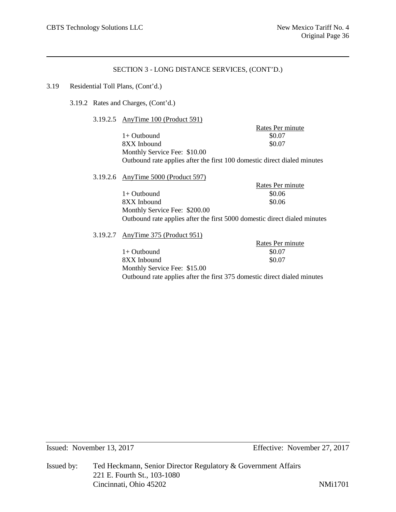## 3.19 Residential Toll Plans, (Cont'd.)

3.19.2 Rates and Charges, (Cont'd.)

3.19.2.5 AnyTime 100 (Product 591)

Rates Per minute  $1+$  Outbound  $$0.07$  $8XX$  Inbound  $$0.07$ Monthly Service Fee: \$10.00 Outbound rate applies after the first 100 domestic direct dialed minutes

3.19.2.6 AnyTime 5000 (Product 597) Rates Per minute  $1+$  Outbound  $$0.06$  $8XX$  Inbound  $$0.06$ Monthly Service Fee: \$200.00 Outbound rate applies after the first 5000 domestic direct dialed minutes

3.19.2.7 AnyTime 375 (Product 951)

Rates Per minute  $1+$  Outbound  $$0.07$ 8XX Inbound \$0.07 Monthly Service Fee: \$15.00 Outbound rate applies after the first 375 domestic direct dialed minutes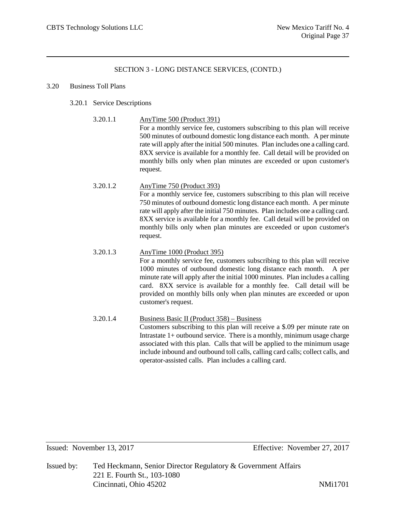## 3.20 Business Toll Plans

- 3.20.1 Service Descriptions
	- 3.20.1.1 AnyTime 500 (Product 391)

For a monthly service fee, customers subscribing to this plan will receive 500 minutes of outbound domestic long distance each month. A per minute rate will apply after the initial 500 minutes. Plan includes one a calling card. 8XX service is available for a monthly fee. Call detail will be provided on monthly bills only when plan minutes are exceeded or upon customer's request.

- 3.20.1.2 AnyTime 750 (Product 393) For a monthly service fee, customers subscribing to this plan will receive 750 minutes of outbound domestic long distance each month. A per minute rate will apply after the initial 750 minutes. Plan includes one a calling card. 8XX service is available for a monthly fee. Call detail will be provided on monthly bills only when plan minutes are exceeded or upon customer's request.
- 3.20.1.3 AnyTime 1000 (Product 395) For a monthly service fee, customers subscribing to this plan will receive 1000 minutes of outbound domestic long distance each month. A per minute rate will apply after the initial 1000 minutes. Plan includes a calling card. 8XX service is available for a monthly fee. Call detail will be provided on monthly bills only when plan minutes are exceeded or upon customer's request.
- 3.20.1.4 Business Basic II (Product 358) Business Customers subscribing to this plan will receive a \$.09 per minute rate on Intrastate  $1+$  outbound service. There is a monthly, minimum usage charge associated with this plan. Calls that will be applied to the minimum usage include inbound and outbound toll calls, calling card calls; collect calls, and operator-assisted calls. Plan includes a calling card.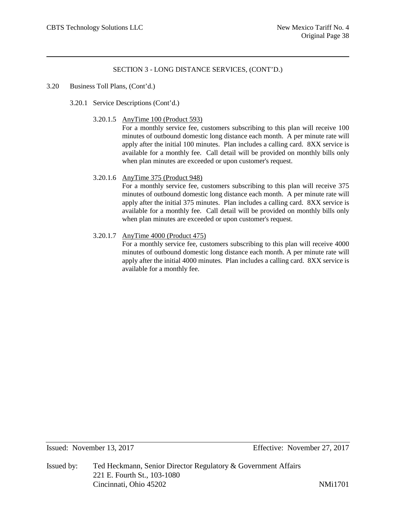## 3.20 Business Toll Plans, (Cont'd.)

- 3.20.1 Service Descriptions (Cont'd.)
	- 3.20.1.5 AnyTime 100 (Product 593)

For a monthly service fee, customers subscribing to this plan will receive 100 minutes of outbound domestic long distance each month. A per minute rate will apply after the initial 100 minutes. Plan includes a calling card. 8XX service is available for a monthly fee. Call detail will be provided on monthly bills only when plan minutes are exceeded or upon customer's request.

## 3.20.1.6 AnyTime 375 (Product 948)

For a monthly service fee, customers subscribing to this plan will receive 375 minutes of outbound domestic long distance each month. A per minute rate will apply after the initial 375 minutes. Plan includes a calling card. 8XX service is available for a monthly fee. Call detail will be provided on monthly bills only when plan minutes are exceeded or upon customer's request.

## 3.20.1.7 AnyTime 4000 (Product 475)

For a monthly service fee, customers subscribing to this plan will receive 4000 minutes of outbound domestic long distance each month. A per minute rate will apply after the initial 4000 minutes. Plan includes a calling card. 8XX service is available for a monthly fee.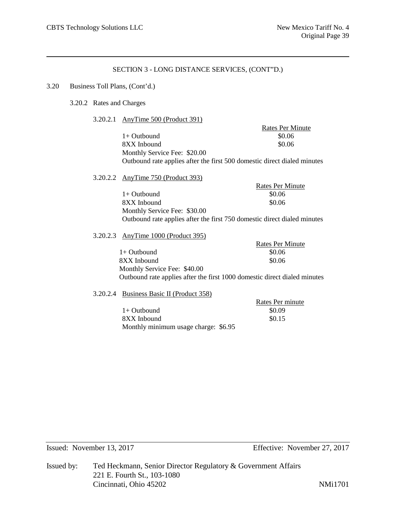## 3.20 Business Toll Plans, (Cont'd.)

# 3.20.2 Rates and Charges

### 3.20.2.1 AnyTime 500 (Product 391)

Rates Per Minute  $1+$  Outbound  $$0.06$ 8XX Inbound \$0.06 Monthly Service Fee: \$20.00 Outbound rate applies after the first 500 domestic direct dialed minutes

3.20.2.2 AnyTime 750 (Product 393)

Rates Per Minute  $1+$  Outbound  $$0.06$ 8XX Inbound \$0.06 Monthly Service Fee: \$30.00 Outbound rate applies after the first 750 domestic direct dialed minutes

### 3.20.2.3 AnyTime 1000 (Product 395)

Rates Per Minute 1+ Outbound \$0.06 8XX Inbound \$0.06 Monthly Service Fee: \$40.00 Outbound rate applies after the first 1000 domestic direct dialed minutes

### 3.20.2.4 Business Basic II (Product 358)

Rates Per minute  $1+$  Outbound  $$0.09$  $8XX$  Inbound  $80.15$ Monthly minimum usage charge: \$6.95